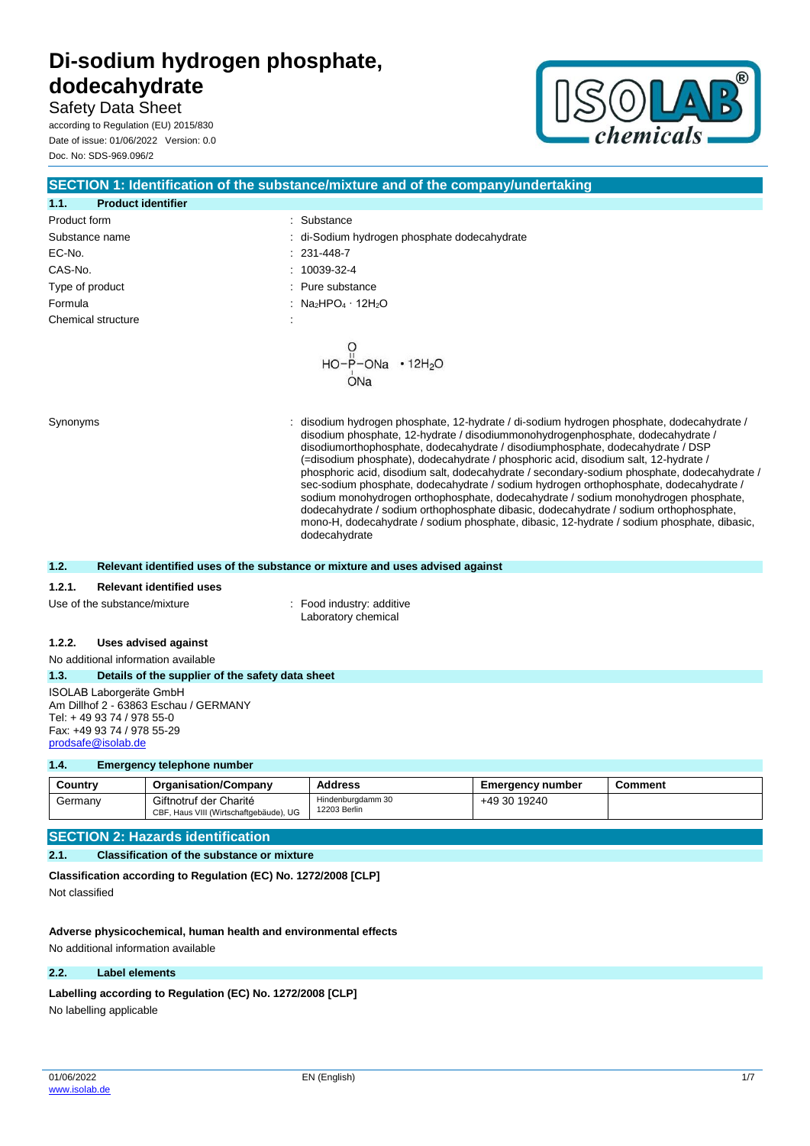**Safety Data Sheet** according to Regulation (EU) 2015/830 Date of issue: 01/06/2022 Version: 0.0





|                                           | SECTION 1: Identification of the substance/mixture and of the company/undertaking                                                                                                                                                                                                                                                                                                                                                                                                                                                                                                                                                                                                                                                              |
|-------------------------------------------|------------------------------------------------------------------------------------------------------------------------------------------------------------------------------------------------------------------------------------------------------------------------------------------------------------------------------------------------------------------------------------------------------------------------------------------------------------------------------------------------------------------------------------------------------------------------------------------------------------------------------------------------------------------------------------------------------------------------------------------------|
| 1.1.<br><b>Product identifier</b>         |                                                                                                                                                                                                                                                                                                                                                                                                                                                                                                                                                                                                                                                                                                                                                |
| Product form                              | : Substance                                                                                                                                                                                                                                                                                                                                                                                                                                                                                                                                                                                                                                                                                                                                    |
| Substance name                            | : di-Sodium hydrogen phosphate dodecahydrate                                                                                                                                                                                                                                                                                                                                                                                                                                                                                                                                                                                                                                                                                                   |
| EC-No.                                    | 231-448-7                                                                                                                                                                                                                                                                                                                                                                                                                                                                                                                                                                                                                                                                                                                                      |
| CAS-No.                                   | 10039-32-4                                                                                                                                                                                                                                                                                                                                                                                                                                                                                                                                                                                                                                                                                                                                     |
| Type of product                           | Pure substance                                                                                                                                                                                                                                                                                                                                                                                                                                                                                                                                                                                                                                                                                                                                 |
| Formula                                   | : $Na2HPO4 \cdot 12H2O$                                                                                                                                                                                                                                                                                                                                                                                                                                                                                                                                                                                                                                                                                                                        |
| Chemical structure                        |                                                                                                                                                                                                                                                                                                                                                                                                                                                                                                                                                                                                                                                                                                                                                |
| Synonyms                                  | $HO-P-ONa + 12H_2O$<br>$ONa$<br>disodium hydrogen phosphate, 12-hydrate / di-sodium hydrogen phosphate, dodecahydrate /                                                                                                                                                                                                                                                                                                                                                                                                                                                                                                                                                                                                                        |
|                                           | disodium phosphate, 12-hydrate / disodiummonohydrogenphosphate, dodecahydrate /<br>disodiumorthophosphate, dodecahydrate / disodiumphosphate, dodecahydrate / DSP<br>(=disodium phosphate), dodecahydrate / phosphoric acid, disodium salt, 12-hydrate /<br>phosphoric acid, disodium salt, dodecahydrate / secondary-sodium phosphate, dodecahydrate /<br>sec-sodium phosphate, dodecahydrate / sodium hydrogen orthophosphate, dodecahydrate /<br>sodium monohydrogen orthophosphate, dodecahydrate / sodium monohydrogen phosphate,<br>dodecahydrate / sodium orthophosphate dibasic, dodecahydrate / sodium orthophosphate,<br>mono-H, dodecahydrate / sodium phosphate, dibasic, 12-hydrate / sodium phosphate, dibasic,<br>dodecahydrate |
| 1.2.                                      | Relevant identified uses of the substance or mixture and uses advised against                                                                                                                                                                                                                                                                                                                                                                                                                                                                                                                                                                                                                                                                  |
| 1.2.1.<br><b>Relevant identified uses</b> |                                                                                                                                                                                                                                                                                                                                                                                                                                                                                                                                                                                                                                                                                                                                                |
| Use of the substance/mixture              | : Food industry: additive<br>Laboratory chemical                                                                                                                                                                                                                                                                                                                                                                                                                                                                                                                                                                                                                                                                                               |
|                                           |                                                                                                                                                                                                                                                                                                                                                                                                                                                                                                                                                                                                                                                                                                                                                |

**1.2.2. Uses advised against**

No additional information available

**1.3. Details of the supplier of the safety data sheet** ISOLAB Laborgeräte GmbH

Am Dillhof 2 - 63863 Eschau / GERMANY Tel: + 49 93 74 / 978 55-0 Fax: +49 93 74 / 978 55-29 [prodsafe@isolab.de](mailto:prodsafe@isolab.de)

## **1.4. Emergency telephone number**

| Country | <b>Organisation/Company</b>                                      | <b>Address</b>                    | <b>Emergency number</b> | Comment |
|---------|------------------------------------------------------------------|-----------------------------------|-------------------------|---------|
| Germany | Giftnotruf der Charité<br>CBF, Haus VIII (Wirtschaftgebäude), UG | Hindenburgdamm 30<br>12203 Berlin | +49 30 19240            |         |

## **SECTION 2: Hazards identification**

## **2.1. Classification of the substance or mixture**

**Classification according to Regulation (EC) No. 1272/2008 [CLP]** Not classified

## **Adverse physicochemical, human health and environmental effects**

No additional information available

## **2.2. Label elements**

**Labelling according to Regulation (EC) No. 1272/2008 [CLP]** 

No labelling applicable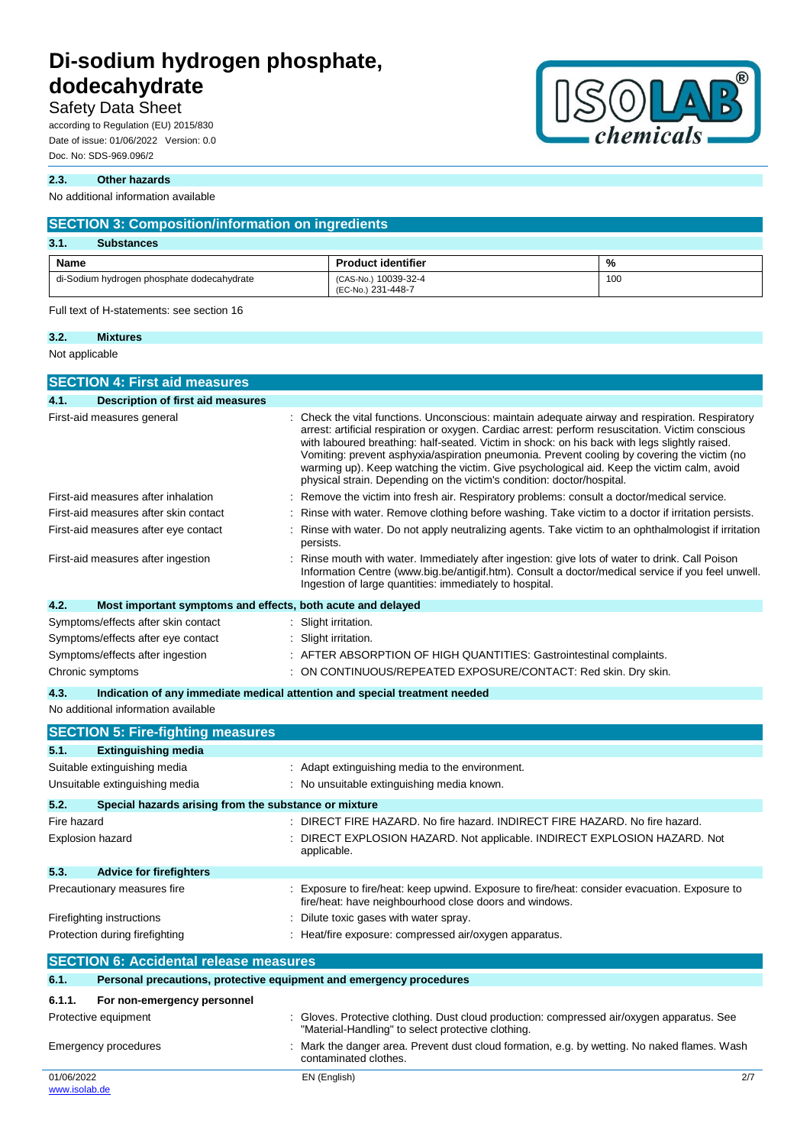## **Safety Data Sheet**

according to Regulation (EU) 2015/830 Date of issue: 01/06/2022 Version: 0.0 Doc. No: SDS-969.096/2

#### **2.3. Other hazards**

No additional information available

| <b>SECTION 3: Composition/information on ingredients</b> |                                            |     |  |
|----------------------------------------------------------|--------------------------------------------|-----|--|
| 3.1.<br><b>Substances</b>                                |                                            |     |  |
| Name                                                     | <b>Product identifier</b>                  | %   |  |
| di-Sodium hydrogen phosphate dodecahydrate               | (CAS-No.) 10039-32-4<br>(EC-No.) 231-448-7 | 100 |  |

Full text of H-statements: see section 16

# **3.2. Mixtures**

Not applicable

| <b>SECTION 4: First aid measures</b>                                                                                              |                                                                                                                                                                                                                                                                                                                                                                                                                                                                                                                                                                            |
|-----------------------------------------------------------------------------------------------------------------------------------|----------------------------------------------------------------------------------------------------------------------------------------------------------------------------------------------------------------------------------------------------------------------------------------------------------------------------------------------------------------------------------------------------------------------------------------------------------------------------------------------------------------------------------------------------------------------------|
| 4.1.<br>Description of first aid measures                                                                                         |                                                                                                                                                                                                                                                                                                                                                                                                                                                                                                                                                                            |
| First-aid measures general                                                                                                        | Check the vital functions. Unconscious: maintain adequate airway and respiration. Respiratory<br>arrest: artificial respiration or oxygen. Cardiac arrest: perform resuscitation. Victim conscious<br>with laboured breathing: half-seated. Victim in shock: on his back with legs slightly raised.<br>Vomiting: prevent asphyxia/aspiration pneumonia. Prevent cooling by covering the victim (no<br>warming up). Keep watching the victim. Give psychological aid. Keep the victim calm, avoid<br>physical strain. Depending on the victim's condition: doctor/hospital. |
| First-aid measures after inhalation                                                                                               | Remove the victim into fresh air. Respiratory problems: consult a doctor/medical service.                                                                                                                                                                                                                                                                                                                                                                                                                                                                                  |
| First-aid measures after skin contact                                                                                             | Rinse with water. Remove clothing before washing. Take victim to a doctor if irritation persists.                                                                                                                                                                                                                                                                                                                                                                                                                                                                          |
| First-aid measures after eye contact                                                                                              | Rinse with water. Do not apply neutralizing agents. Take victim to an ophthalmologist if irritation<br>persists.                                                                                                                                                                                                                                                                                                                                                                                                                                                           |
| First-aid measures after ingestion                                                                                                | Rinse mouth with water. Immediately after ingestion: give lots of water to drink. Call Poison<br>Information Centre (www.big.be/antigif.htm). Consult a doctor/medical service if you feel unwell.<br>Ingestion of large quantities: immediately to hospital.                                                                                                                                                                                                                                                                                                              |
| 4.2.<br>Most important symptoms and effects, both acute and delayed                                                               |                                                                                                                                                                                                                                                                                                                                                                                                                                                                                                                                                                            |
| Symptoms/effects after skin contact<br>Symptoms/effects after eye contact<br>Symptoms/effects after ingestion<br>Chronic symptoms | Slight irritation.<br>Slight irritation.<br>AFTER ABSORPTION OF HIGH QUANTITIES: Gastrointestinal complaints.<br>ON CONTINUOUS/REPEATED EXPOSURE/CONTACT: Red skin. Dry skin.                                                                                                                                                                                                                                                                                                                                                                                              |
| 4.3.                                                                                                                              | Indication of any immediate medical attention and special treatment needed                                                                                                                                                                                                                                                                                                                                                                                                                                                                                                 |
| No additional information available                                                                                               |                                                                                                                                                                                                                                                                                                                                                                                                                                                                                                                                                                            |
| <b>SECTION 5: Fire-fighting measures</b>                                                                                          |                                                                                                                                                                                                                                                                                                                                                                                                                                                                                                                                                                            |
| <b>Extinguishing media</b><br>5.1.                                                                                                |                                                                                                                                                                                                                                                                                                                                                                                                                                                                                                                                                                            |
| Suitable extinguishing media                                                                                                      | Adapt extinguishing media to the environment.                                                                                                                                                                                                                                                                                                                                                                                                                                                                                                                              |
| Unsuitable extinguishing media                                                                                                    | : No unsuitable extinguishing media known.                                                                                                                                                                                                                                                                                                                                                                                                                                                                                                                                 |

### **5.2. Special hazards arising from the substance or mixture**

| Fire hazard<br>Explosion hazard        | : DIRECT FIRE HAZARD. No fire hazard. INDIRECT FIRE HAZARD. No fire hazard.<br>: DIRECT EXPLOSION HAZARD. Not applicable. INDIRECT EXPLOSION HAZARD. Not<br>applicable. |
|----------------------------------------|-------------------------------------------------------------------------------------------------------------------------------------------------------------------------|
| 5.3.<br><b>Advice for firefighters</b> |                                                                                                                                                                         |
| Precautionary measures fire            | : Exposure to fire/heat: keep upwind. Exposure to fire/heat: consider evacuation. Exposure to<br>fire/heat: have neighbourhood close doors and windows.                 |
| Firefighting instructions              | Dilute toxic gases with water spray.                                                                                                                                    |
| Protection during firefighting         | Heat/fire exposure: compressed air/oxygen apparatus.                                                                                                                    |

## **SECTION 6: Accidental release measures 6.1. Personal precautions, protective equipment and emergency procedures 6.1.1. For non-emergency personnel** Protective equipment : Gloves. Protective clothing. Dust cloud production: compressed air/oxygen apparatus. See "Material-Handling" to select protective clothing. Emergency procedures : Mark the danger area. Prevent dust cloud formation, e.g. by wetting. No naked flames. Wash contaminated clothes.

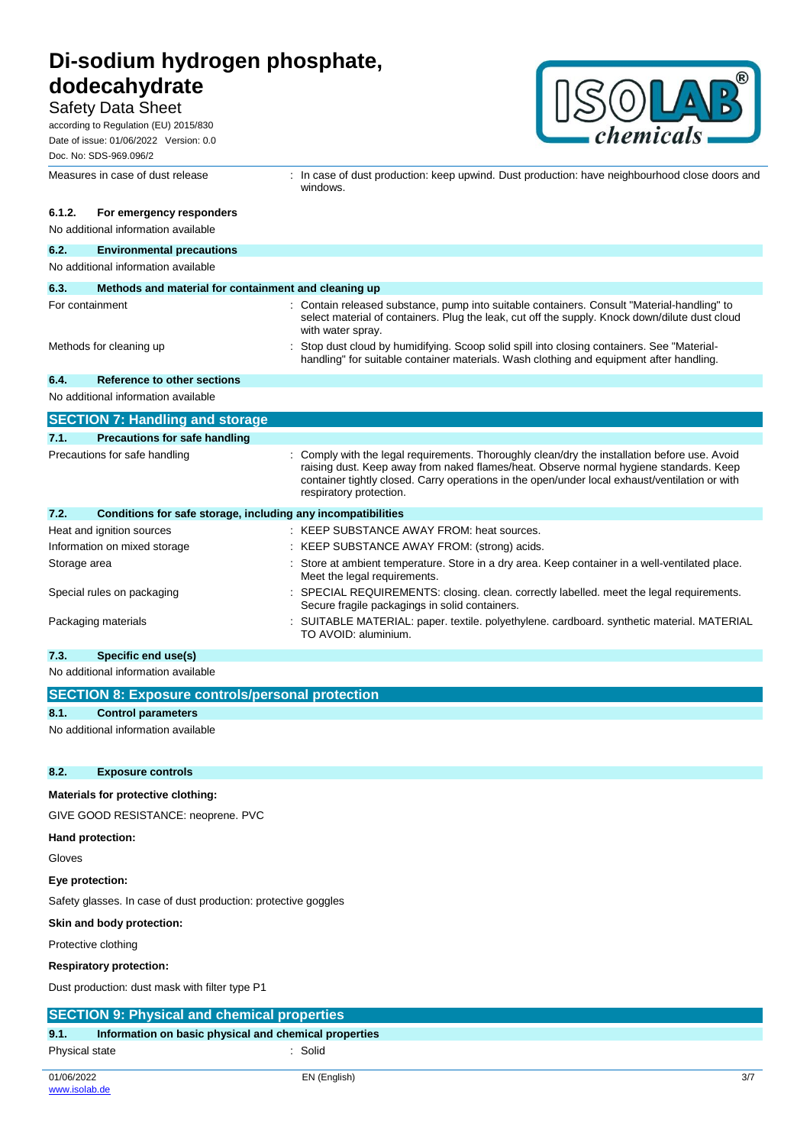## **Safety Data Sheet**

according to Regulation (EU) 2015/830 Date of issue: 01/06/2022 Version: 0.0 Doc. No: SDS-969.096/2



|              | Measures in case of dust release                             | : In case of dust production: keep upwind. Dust production: have neighbourhood close doors and<br>windows.                                                                                                                                                                                                           |
|--------------|--------------------------------------------------------------|----------------------------------------------------------------------------------------------------------------------------------------------------------------------------------------------------------------------------------------------------------------------------------------------------------------------|
| 6.1.2.       | For emergency responders                                     |                                                                                                                                                                                                                                                                                                                      |
|              | No additional information available                          |                                                                                                                                                                                                                                                                                                                      |
| 6.2.         | <b>Environmental precautions</b>                             |                                                                                                                                                                                                                                                                                                                      |
|              | No additional information available                          |                                                                                                                                                                                                                                                                                                                      |
| 6.3.         | Methods and material for containment and cleaning up         |                                                                                                                                                                                                                                                                                                                      |
|              | For containment                                              | : Contain released substance, pump into suitable containers. Consult "Material-handling" to<br>select material of containers. Plug the leak, cut off the supply. Knock down/dilute dust cloud<br>with water spray.                                                                                                   |
|              | Methods for cleaning up                                      | Stop dust cloud by humidifying. Scoop solid spill into closing containers. See "Material-<br>handling" for suitable container materials. Wash clothing and equipment after handling.                                                                                                                                 |
| 6.4.         | <b>Reference to other sections</b>                           |                                                                                                                                                                                                                                                                                                                      |
|              | No additional information available                          |                                                                                                                                                                                                                                                                                                                      |
|              | <b>SECTION 7: Handling and storage</b>                       |                                                                                                                                                                                                                                                                                                                      |
| 7.1.         | <b>Precautions for safe handling</b>                         |                                                                                                                                                                                                                                                                                                                      |
|              | Precautions for safe handling                                | : Comply with the legal requirements. Thoroughly clean/dry the installation before use. Avoid<br>raising dust. Keep away from naked flames/heat. Observe normal hygiene standards. Keep<br>container tightly closed. Carry operations in the open/under local exhaust/ventilation or with<br>respiratory protection. |
| 7.2.         | Conditions for safe storage, including any incompatibilities |                                                                                                                                                                                                                                                                                                                      |
|              | Heat and ignition sources                                    | : KEEP SUBSTANCE AWAY FROM: heat sources.                                                                                                                                                                                                                                                                            |
|              | Information on mixed storage                                 | : KEEP SUBSTANCE AWAY FROM: (strong) acids.                                                                                                                                                                                                                                                                          |
| Storage area |                                                              | : Store at ambient temperature. Store in a dry area. Keep container in a well-ventilated place.<br>Meet the legal requirements.                                                                                                                                                                                      |
|              | Special rules on packaging                                   | SPECIAL REQUIREMENTS: closing. clean. correctly labelled. meet the legal requirements.<br>Secure fragile packagings in solid containers.                                                                                                                                                                             |
|              | Packaging materials                                          | : SUITABLE MATERIAL: paper. textile. polyethylene. cardboard. synthetic material. MATERIAL<br>TO AVOID: aluminium.                                                                                                                                                                                                   |

### **7.3. Specific end use(s)**

No additional information available

|      | SECTION 8: Exposure controls/personal protection                                      |
|------|---------------------------------------------------------------------------------------|
| 8.1. | <b>Control parameters</b>                                                             |
|      | . A family of all the books of the factory and the control of the books of the factor |

No additional information available

### **8.2. Exposure controls**

### **Materials for protective clothing:**

GIVE GOOD RESISTANCE: neoprene. PVC

### **Hand protection:**

Gloves

**Eye protection:**

Safety glasses. In case of dust production: protective goggles

### **Skin and body protection:**

Protective clothing

#### **Respiratory protection:**

Dust production: dust mask with filter type P1

### **SECTION 9: Physical and chemical properties**

**9.1. Information on basic physical and chemical properties**

Physical state : Solid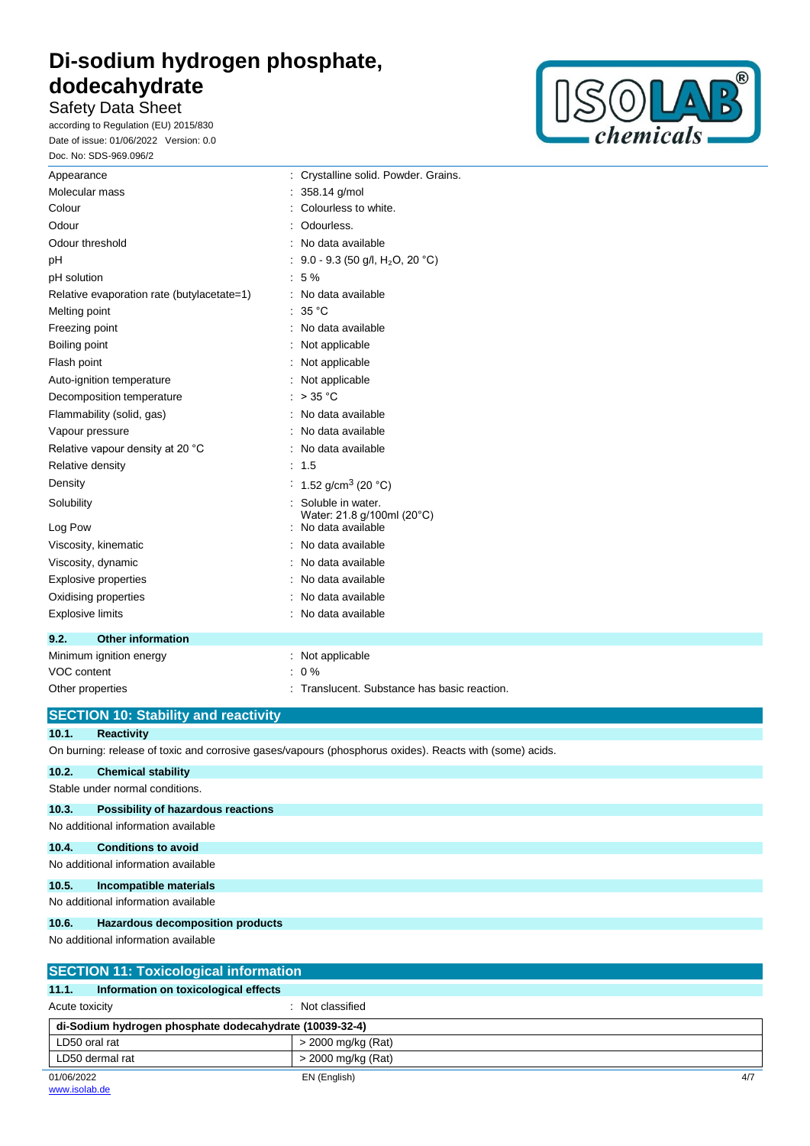# **Safety Data Sheet**

according to Regulation (EU) 2015/830 Date of issue: 01/06/2022 Version: 0.0 Doc. No: SDS-969.096/2



| Appearance                                 | : Crystalline solid. Powder. Grains.            |
|--------------------------------------------|-------------------------------------------------|
| Molecular mass                             | 358.14 g/mol                                    |
| Colour                                     | Colourless to white.                            |
| Odour                                      | Odourless.                                      |
| Odour threshold                            | No data available                               |
| pH                                         | 9.0 - 9.3 (50 g/l, H <sub>2</sub> O, 20 °C)     |
| pH solution                                | - 5 %                                           |
| Relative evaporation rate (butylacetate=1) | No data available                               |
| Melting point                              | : 35 °C                                         |
| Freezing point                             | No data available                               |
| Boiling point                              | Not applicable                                  |
| Flash point                                | Not applicable                                  |
| Auto-ignition temperature                  | Not applicable                                  |
| Decomposition temperature                  | $>$ 35 °C                                       |
| Flammability (solid, gas)                  | No data available                               |
| Vapour pressure                            | No data available                               |
| Relative vapour density at 20 °C           | No data available                               |
| Relative density                           | 1.5                                             |
| Density                                    | 1.52 g/cm <sup>3</sup> (20 °C)                  |
| Solubility                                 | Soluble in water.<br>Water: 21.8 g/100ml (20°C) |
| Log Pow                                    | No data available                               |
| Viscosity, kinematic                       | No data available                               |
| Viscosity, dynamic                         | No data available                               |
| Explosive properties                       | No data available                               |
| Oxidising properties                       | No data available                               |
| <b>Explosive limits</b>                    | No data available                               |
| 9.2.<br><b>Other information</b>           |                                                 |
| Minimum ignition energy                    | Not applicable                                  |
| VOC content                                | 0%                                              |
| Other properties                           | Translucent. Substance has basic reaction.      |

## **SECTION 10: Stability and reactivity**

### **10.1. Reactivity**

On burning: release of toxic and corrosive gases/vapours (phosphorus oxides). Reacts with (some) acids.

| 10.2. | <b>Chemical stability</b>                    |
|-------|----------------------------------------------|
|       | Stable under normal conditions.              |
| 10.3. | Possibility of hazardous reactions           |
|       | No additional information available          |
| 10.4. | <b>Conditions to avoid</b>                   |
|       | No additional information available          |
| 10.5. | Incompatible materials                       |
|       | No additional information available          |
| 10.6. | Hazardous decomposition products             |
|       | No additional information available          |
|       | <b>SECTION 11: Toxicological information</b> |
| 11.1. | Information on toxicological effects         |

| Acute toxicity                                          | Not classified      |
|---------------------------------------------------------|---------------------|
| di-Sodium hydrogen phosphate dodecahydrate (10039-32-4) |                     |
| LD50 oral rat                                           | > 2000 mg/kg (Rat)  |
| LD50 dermal rat                                         | > 2000 mg/kg (Rat)  |
| 01/06/2022                                              | EN (English)<br>4/7 |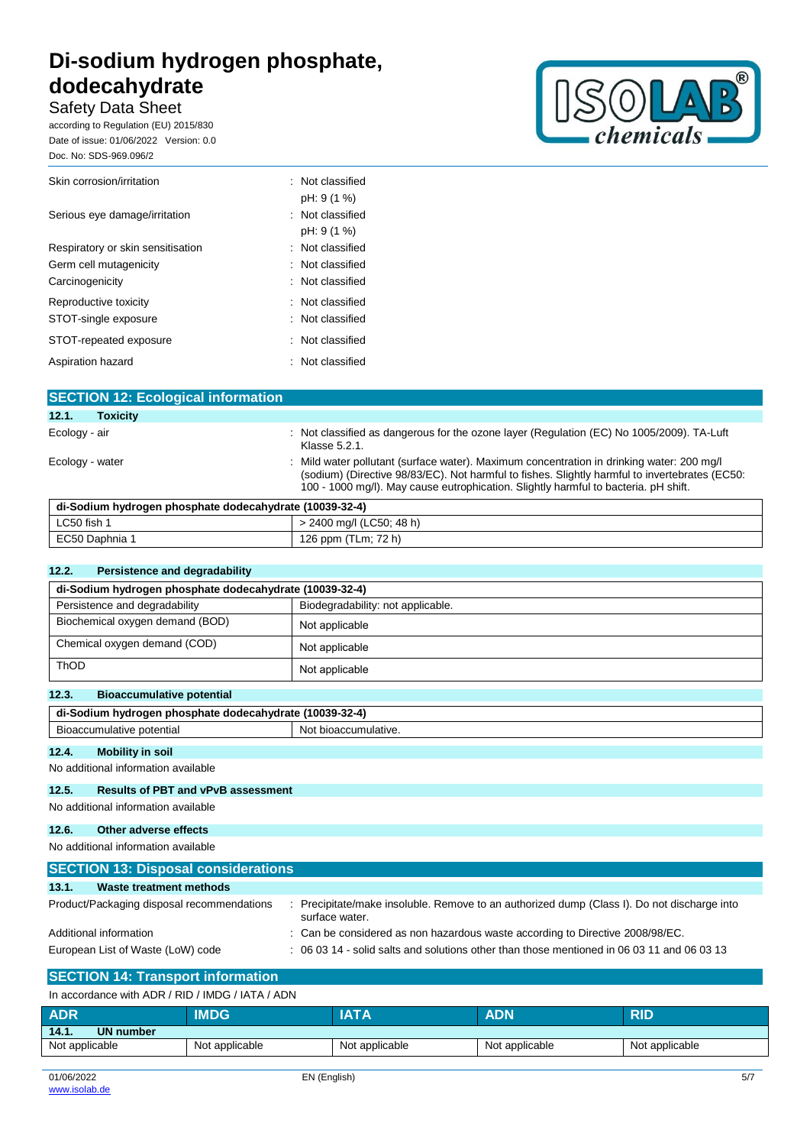Safety Data Sheet **\*\*\* DRAFT \*\*\* DRAFT \*\*\* DRAFT \*\*\* DRAFT \*\*\* DRAFT \*\*\* DRAFT \*\*** according to Regulation (EU) 2015/830 Date of issue: 01/06/2022 Version: 0.0

Doc. No: SDS-969.096/2



| Skin corrosion/irritation         | : Not classified              |
|-----------------------------------|-------------------------------|
| Serious eye damage/irritation     | pH: 9 (1 %)<br>Not classified |
|                                   | pH: 9 (1 %)                   |
| Respiratory or skin sensitisation | Not classified                |
| Germ cell mutagenicity            | Not classified                |
| Carcinogenicity                   | : Not classified              |
| Reproductive toxicity             | Not classified                |
| STOT-single exposure              | Not classified                |
| STOT-repeated exposure            | $\therefore$ Not classified   |
| Aspiration hazard                 | : Not classified              |

| <b>SECTION 12: Ecological information</b> |                                                                                                                                                                                                                                                                                    |
|-------------------------------------------|------------------------------------------------------------------------------------------------------------------------------------------------------------------------------------------------------------------------------------------------------------------------------------|
| 12.1.<br><b>Toxicity</b>                  |                                                                                                                                                                                                                                                                                    |
| Ecology - air                             | : Not classified as dangerous for the ozone layer (Regulation (EC) No 1005/2009). TA-Luft<br>Klasse 5.2.1.                                                                                                                                                                         |
| Ecology - water                           | : Mild water pollutant (surface water). Maximum concentration in drinking water: 200 mg/l<br>(sodium) (Directive 98/83/EC). Not harmful to fishes. Slightly harmful to invertebrates (EC50:<br>100 - 1000 mg/l). May cause eutrophication. Slightly harmful to bacteria. pH shift. |

| di-Sodium hydrogen phosphate dodecahydrate (10039-32-4) |                          |
|---------------------------------------------------------|--------------------------|
| LC50 fish                                               | > 2400 mg/l (LC50; 48 h) |
| EC50 Daphnia 1                                          | 126 ppm (TLm; 72 h)      |

### **12.2. Persistence and degradability**

| di-Sodium hydrogen phosphate dodecahydrate (10039-32-4) |                                                                                                             |  |  |
|---------------------------------------------------------|-------------------------------------------------------------------------------------------------------------|--|--|
| Persistence and degradability                           | Biodegradability: not applicable.                                                                           |  |  |
| Biochemical oxygen demand (BOD)                         | Not applicable                                                                                              |  |  |
| Chemical oxygen demand (COD)                            | Not applicable                                                                                              |  |  |
| ThOD                                                    | Not applicable                                                                                              |  |  |
| 12.3.<br><b>Bioaccumulative potential</b>               |                                                                                                             |  |  |
| di-Sodium hydrogen phosphate dodecahydrate (10039-32-4) |                                                                                                             |  |  |
| Bioaccumulative potential                               | Not bioaccumulative.                                                                                        |  |  |
| 12.4.<br><b>Mobility in soil</b>                        |                                                                                                             |  |  |
| No additional information available                     |                                                                                                             |  |  |
| 12.5.<br><b>Results of PBT and vPvB assessment</b>      |                                                                                                             |  |  |
| No additional information available                     |                                                                                                             |  |  |
| Other adverse effects<br>12.6.                          |                                                                                                             |  |  |
| No additional information available                     |                                                                                                             |  |  |
| <b>SECTION 13: Disposal considerations</b>              |                                                                                                             |  |  |
| 13.1.<br>Waste treatment methods                        |                                                                                                             |  |  |
| Product/Packaging disposal recommendations              | Precipitate/make insoluble. Remove to an authorized dump (Class I). Do not discharge into<br>surface water. |  |  |
| Additional information                                  | Can be considered as non hazardous waste according to Directive 2008/98/EC.                                 |  |  |
| European List of Waste (LoW) code                       | 06 03 14 - solid salts and solutions other than those mentioned in 06 03 11 and 06 03 13                    |  |  |

## **SECTION 14: Transport information**

| In accordance with ADR / RID / IMDG / IATA / ADN |                |                |                |                |
|--------------------------------------------------|----------------|----------------|----------------|----------------|
| <b>ADR</b>                                       | <b>IMDG</b>    | <b>IATA</b>    | <b>ADN</b>     | <b>RID</b>     |
| 14.1.<br>UN number                               |                |                |                |                |
| Not applicable                                   | Not applicable | Not applicable | Not applicable | Not applicable |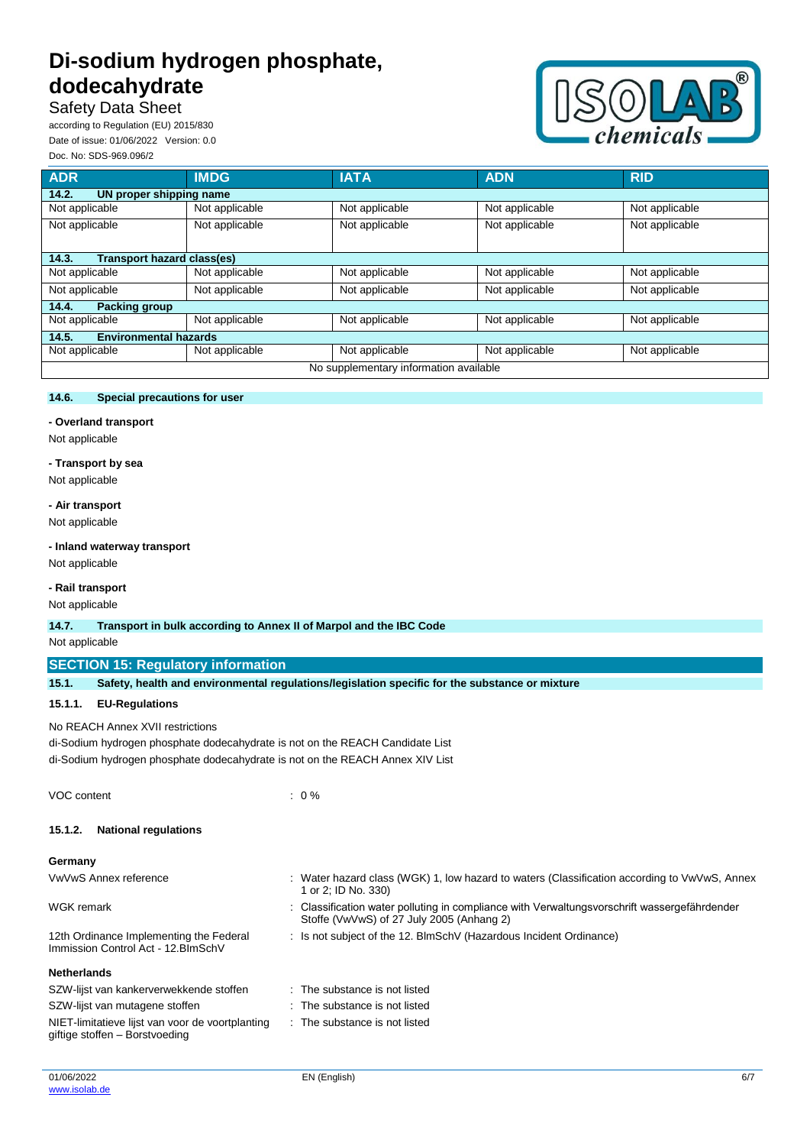# **Safety Data Sheet**

according to Regulation (EU) 2015/830 Date of issue: 01/06/2022 Version: 0.0 Doc. No: SDS-969.096/2



| <b>ADR</b>                            | <b>IMDG</b>    | <b>IATA</b>                            | <b>ADN</b>     | <b>RID</b>     |
|---------------------------------------|----------------|----------------------------------------|----------------|----------------|
| 14.2.<br>UN proper shipping name      |                |                                        |                |                |
| Not applicable                        | Not applicable | Not applicable                         | Not applicable | Not applicable |
| Not applicable                        | Not applicable | Not applicable                         | Not applicable | Not applicable |
| 14.3.<br>Transport hazard class(es)   |                |                                        |                |                |
| Not applicable                        | Not applicable | Not applicable                         | Not applicable | Not applicable |
| Not applicable                        | Not applicable | Not applicable                         | Not applicable | Not applicable |
| 14.4.<br><b>Packing group</b>         |                |                                        |                |                |
| Not applicable                        | Not applicable | Not applicable                         | Not applicable | Not applicable |
| <b>Environmental hazards</b><br>14.5. |                |                                        |                |                |
| Not applicable                        | Not applicable | Not applicable                         | Not applicable | Not applicable |
|                                       |                | No supplementary information available |                |                |

### **14.6. Special precautions for user**

### **- Overland transport**

Not applicable

### **- Transport by sea**

Not applicable

### **- Air transport**

Not applicable

#### **- Inland waterway transport**

Not applicable

### **- Rail transport**

Not applicable

#### **14.7. Transport in bulk according to Annex II of Marpol and the IBC Code**

Not applicable

### **SECTION 15: Regulatory information**

| 15.1. |  |  | Safety, health and environmental regulations/legislation specific for the substance or mixture |
|-------|--|--|------------------------------------------------------------------------------------------------|
|-------|--|--|------------------------------------------------------------------------------------------------|

 $: 0 \%$ 

### **15.1.1. EU-Regulations**

### No REACH Annex XVII restrictions

di-Sodium hydrogen phosphate dodecahydrate is not on the REACH Candidate List di-Sodium hydrogen phosphate dodecahydrate is not on the REACH Annex XIV List

### **15.1.2. National regulations**

#### **Germany**

| VwVwS Annex reference                                                                                                                                | : Water hazard class (WGK) 1, low hazard to waters (Classification according to VwVwS, Annex<br>1 or 2; ID No. 330)                     |
|------------------------------------------------------------------------------------------------------------------------------------------------------|-----------------------------------------------------------------------------------------------------------------------------------------|
| WGK remark                                                                                                                                           | Classification water polluting in compliance with Verwaltungsvorschrift wassergefährdender<br>Stoffe (VwVwS) of 27 July 2005 (Anhang 2) |
| : Is not subject of the 12. BlmSchV (Hazardous Incident Ordinance)<br>12th Ordinance Implementing the Federal<br>Immission Control Act - 12. BlmSchV |                                                                                                                                         |
| <b>Netherlands</b>                                                                                                                                   |                                                                                                                                         |
| SZW-lijst van kankerverwekkende stoffen                                                                                                              | $\therefore$ The substance is not listed                                                                                                |
| SZW-lijst van mutagene stoffen                                                                                                                       | $\therefore$ The substance is not listed                                                                                                |
| NIET-limitatieve lijst van voor de voortplanting<br>giftige stoffen - Borstvoeding                                                                   | $\therefore$ The substance is not listed                                                                                                |